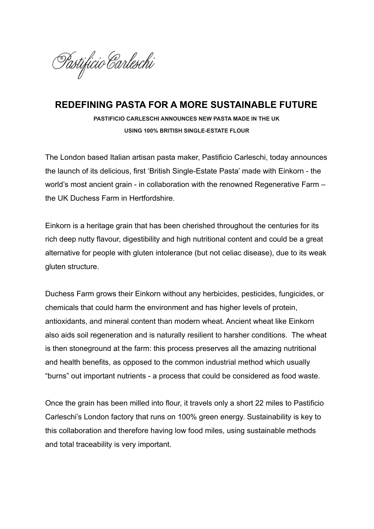

## **REDEFINING PASTA FOR A MORE SUSTAINABLE FUTURE**

**PASTIFICIO CARLESCHI ANNOUNCES NEW PASTA MADE IN THE UK USING 100% BRITISH SINGLE-ESTATE FLOUR**

The London based Italian artisan pasta maker, Pastificio Carleschi, today announces the launch of its delicious, first 'British Single-Estate Pasta' made with Einkorn - the world's most ancient grain - in collaboration with the renowned Regenerative Farm – the UK Duchess Farm in Hertfordshire.

Einkorn is a heritage grain that has been cherished throughout the centuries for its rich deep nutty flavour, digestibility and high nutritional content and could be a great alternative for people with gluten intolerance (but not celiac disease), due to its weak gluten structure.

Duchess Farm grows their Einkorn without any herbicides, pesticides, fungicides, or chemicals that could harm the environment and has higher levels of protein, antioxidants, and mineral content than modern wheat. Ancient wheat like Einkorn also aids soil regeneration and is naturally resilient to harsher conditions. The wheat is then stoneground at the farm: this process preserves all the amazing nutritional and health benefits, as opposed to the common industrial method which usually "burns" out important nutrients - a process that could be considered as food waste.

Once the grain has been milled into flour, it travels only a short 22 miles to Pastificio Carleschi's London factory that runs on 100% green energy. Sustainability is key to this collaboration and therefore having low food miles, using sustainable methods and total traceability is very important.